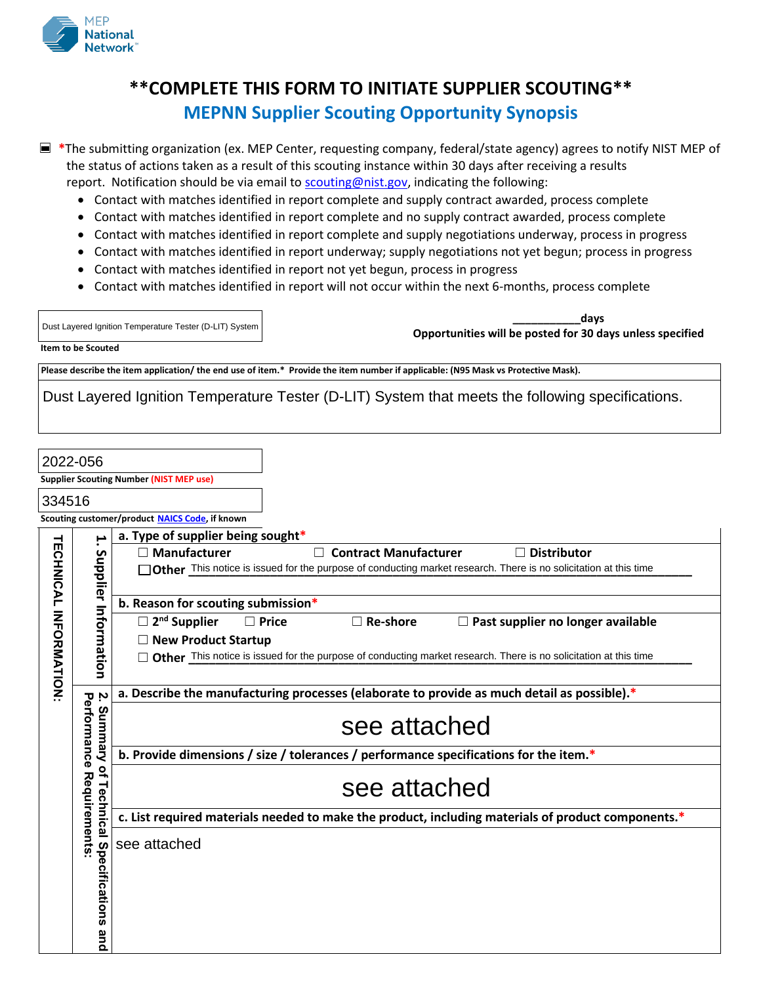

# **\*\*COMPLETE THIS FORM TO INITIATE SUPPLIER SCOUTING\*\* MEPNN Supplier Scouting Opportunity Synopsis**

☐ **\***The submitting organization (ex. MEP Center, requesting company, federal/state agency) agrees to notify NIST MEP of the status of actions taken as a result of this scouting instance within 30 days after receiving a results report. Notification should be via email to [scouting@nist.gov,](mailto:scouting@nist.gov) indicating the following:

- Contact with matches identified in report complete and supply contract awarded, process complete
- Contact with matches identified in report complete and no supply contract awarded, process complete
- Contact with matches identified in report complete and supply negotiations underway, process in progress
- Contact with matches identified in report underway; supply negotiations not yet begun; process in progress
- Contact with matches identified in report not yet begun, process in progress
- Contact with matches identified in report will not occur within the next 6-months, process complete

| Dust Layered Ignition Temperature Tester (D-LIT) System | davs<br>Opportunities will be posted for 30 days unless specified |
|---------------------------------------------------------|-------------------------------------------------------------------|
| Item to be Scouted                                      |                                                                   |

**Please describe the item application/ the end use of item.\* Provide the item number if applicable: (N95 Mask vs Protective Mask).**

Dust Layered Ignition Temperature Tester (D-LIT) System that meets the following specifications.

| 2022-056                            |                                                             |                                                                                                                    |  |  |
|-------------------------------------|-------------------------------------------------------------|--------------------------------------------------------------------------------------------------------------------|--|--|
|                                     |                                                             | <b>Supplier Scouting Number (NIST MEP use)</b>                                                                     |  |  |
| 334516                              |                                                             |                                                                                                                    |  |  |
|                                     | Scouting customer/product NAICS Code, if known              |                                                                                                                    |  |  |
|                                     | ۳.                                                          | a. Type of supplier being sought*                                                                                  |  |  |
|                                     |                                                             | <b>Contract Manufacturer</b><br>$\Box$ Manufacturer<br><b>Distributor</b>                                          |  |  |
| <b><i>TECHNICAL INFORMATION</i></b> | Supplier Information                                        | Other This notice is issued for the purpose of conducting market research. There is no solicitation at this time   |  |  |
|                                     |                                                             | b. Reason for scouting submission*                                                                                 |  |  |
|                                     |                                                             | $\square$ 2 <sup>nd</sup> Supplier<br>$\Box$ Re-shore<br>$\Box$ Past supplier no longer available<br>$\Box$ Price  |  |  |
|                                     |                                                             | $\Box$ New Product Startup                                                                                         |  |  |
|                                     |                                                             | □ Other This notice is issued for the purpose of conducting market research. There is no solicitation at this time |  |  |
|                                     |                                                             |                                                                                                                    |  |  |
|                                     | Ņ                                                           | a. Describe the manufacturing processes (elaborate to provide as much detail as possible).*                        |  |  |
|                                     | Performance<br>Summary                                      | see attached                                                                                                       |  |  |
|                                     |                                                             | b. Provide dimensions / size / tolerances / performance specifications for the item.*                              |  |  |
|                                     | $\overline{\mathbf{a}}$<br>Requirements<br><b>Technical</b> | see attached                                                                                                       |  |  |
|                                     |                                                             | c. List required materials needed to make the product, including materials of product components.*                 |  |  |
|                                     | Specifications<br>and                                       | see attached                                                                                                       |  |  |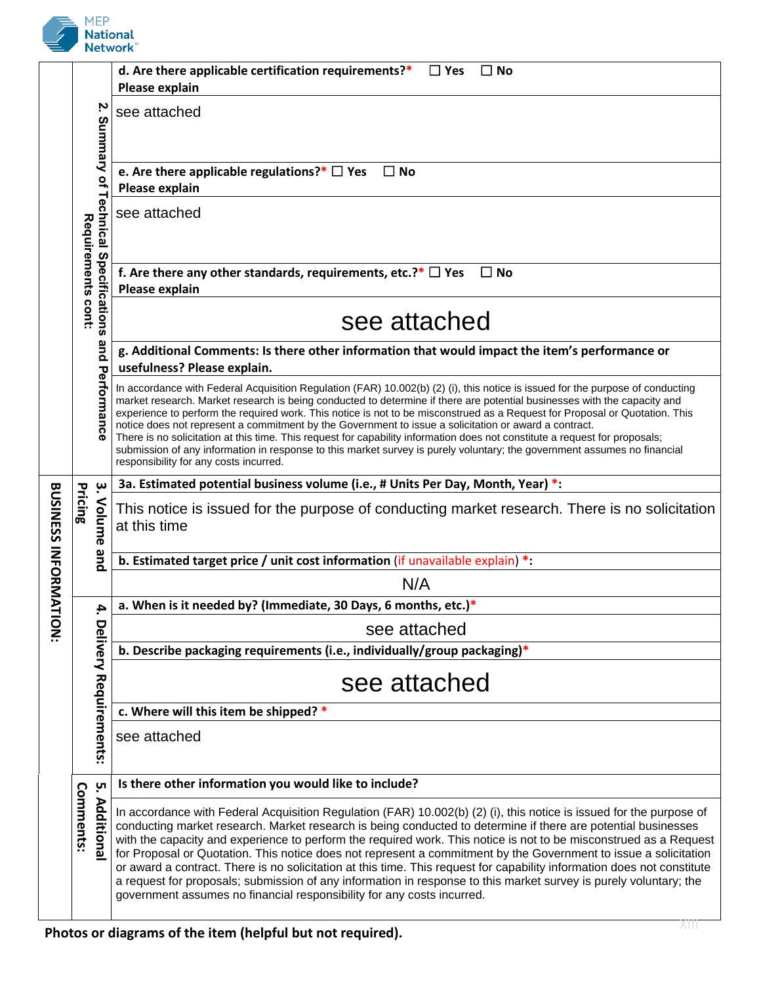

|                                                                            |                    |                                     | d. Are there applicable certification requirements?*<br>$\Box$ Yes<br>$\square$ No<br>Please explain                                                                                                                                                                                                                                                                                                                                                                                                                                                                                                                                                                                                                                                                                                    |
|----------------------------------------------------------------------------|--------------------|-------------------------------------|---------------------------------------------------------------------------------------------------------------------------------------------------------------------------------------------------------------------------------------------------------------------------------------------------------------------------------------------------------------------------------------------------------------------------------------------------------------------------------------------------------------------------------------------------------------------------------------------------------------------------------------------------------------------------------------------------------------------------------------------------------------------------------------------------------|
|                                                                            |                    | Ņ                                   | see attached                                                                                                                                                                                                                                                                                                                                                                                                                                                                                                                                                                                                                                                                                                                                                                                            |
|                                                                            |                    |                                     |                                                                                                                                                                                                                                                                                                                                                                                                                                                                                                                                                                                                                                                                                                                                                                                                         |
|                                                                            |                    |                                     | e. Are there applicable regulations?* $\Box$ Yes $\Box$ No<br>Please explain                                                                                                                                                                                                                                                                                                                                                                                                                                                                                                                                                                                                                                                                                                                            |
|                                                                            |                    | Summary of Technical Specifications | see attached                                                                                                                                                                                                                                                                                                                                                                                                                                                                                                                                                                                                                                                                                                                                                                                            |
|                                                                            | Requirements cont: |                                     | f. Are there any other standards, requirements, etc.?* $\Box$ Yes<br>$\square$ No<br>Please explain                                                                                                                                                                                                                                                                                                                                                                                                                                                                                                                                                                                                                                                                                                     |
|                                                                            |                    |                                     | see attached                                                                                                                                                                                                                                                                                                                                                                                                                                                                                                                                                                                                                                                                                                                                                                                            |
|                                                                            |                    |                                     | g. Additional Comments: Is there other information that would impact the item's performance or<br>usefulness? Please explain.                                                                                                                                                                                                                                                                                                                                                                                                                                                                                                                                                                                                                                                                           |
|                                                                            |                    | and Performance                     | In accordance with Federal Acquisition Regulation (FAR) 10.002(b) (2) (i), this notice is issued for the purpose of conducting<br>market research. Market research is being conducted to determine if there are potential businesses with the capacity and<br>experience to perform the required work. This notice is not to be misconstrued as a Request for Proposal or Quotation. This<br>notice does not represent a commitment by the Government to issue a solicitation or award a contract.<br>There is no solicitation at this time. This request for capability information does not constitute a request for proposals;<br>submission of any information in response to this market survey is purely voluntary; the government assumes no financial<br>responsibility for any costs incurred. |
| <b>BUSINESS INFORMAT</b>                                                   | Pricing            | پ                                   | 3a. Estimated potential business volume (i.e., # Units Per Day, Month, Year) *:                                                                                                                                                                                                                                                                                                                                                                                                                                                                                                                                                                                                                                                                                                                         |
|                                                                            |                    | Volume                              | This notice is issued for the purpose of conducting market research. There is no solicitation<br>at this time                                                                                                                                                                                                                                                                                                                                                                                                                                                                                                                                                                                                                                                                                           |
|                                                                            | qnd                |                                     | b. Estimated target price / unit cost information (if unavailable explain) $*$ :                                                                                                                                                                                                                                                                                                                                                                                                                                                                                                                                                                                                                                                                                                                        |
| N/A<br>a. When is it needed by? (Immediate, 30 Days, 6 months, etc.)*<br>4 |                    |                                     |                                                                                                                                                                                                                                                                                                                                                                                                                                                                                                                                                                                                                                                                                                                                                                                                         |
|                                                                            |                    |                                     |                                                                                                                                                                                                                                                                                                                                                                                                                                                                                                                                                                                                                                                                                                                                                                                                         |
| LON:                                                                       |                    |                                     | see attached                                                                                                                                                                                                                                                                                                                                                                                                                                                                                                                                                                                                                                                                                                                                                                                            |
|                                                                            |                    |                                     | b. Describe packaging requirements (i.e., individually/group packaging)*                                                                                                                                                                                                                                                                                                                                                                                                                                                                                                                                                                                                                                                                                                                                |
|                                                                            |                    |                                     | see attached                                                                                                                                                                                                                                                                                                                                                                                                                                                                                                                                                                                                                                                                                                                                                                                            |
|                                                                            |                    |                                     | c. Where will this item be shipped? *                                                                                                                                                                                                                                                                                                                                                                                                                                                                                                                                                                                                                                                                                                                                                                   |
|                                                                            |                    | Delivery Requirements:              | see attached                                                                                                                                                                                                                                                                                                                                                                                                                                                                                                                                                                                                                                                                                                                                                                                            |
|                                                                            |                    | <u>ុ</u> ហ                          | Is there other information you would like to include?                                                                                                                                                                                                                                                                                                                                                                                                                                                                                                                                                                                                                                                                                                                                                   |
|                                                                            | Comments:          | <b>Additiona</b>                    | In accordance with Federal Acquisition Regulation (FAR) 10.002(b) (2) (i), this notice is issued for the purpose of<br>conducting market research. Market research is being conducted to determine if there are potential businesses<br>with the capacity and experience to perform the required work. This notice is not to be misconstrued as a Request<br>for Proposal or Quotation. This notice does not represent a commitment by the Government to issue a solicitation<br>or award a contract. There is no solicitation at this time. This request for capability information does not constitute<br>a request for proposals; submission of any information in response to this market survey is purely voluntary; the<br>government assumes no financial responsibility for any costs incurred. |
|                                                                            |                    |                                     |                                                                                                                                                                                                                                                                                                                                                                                                                                                                                                                                                                                                                                                                                                                                                                                                         |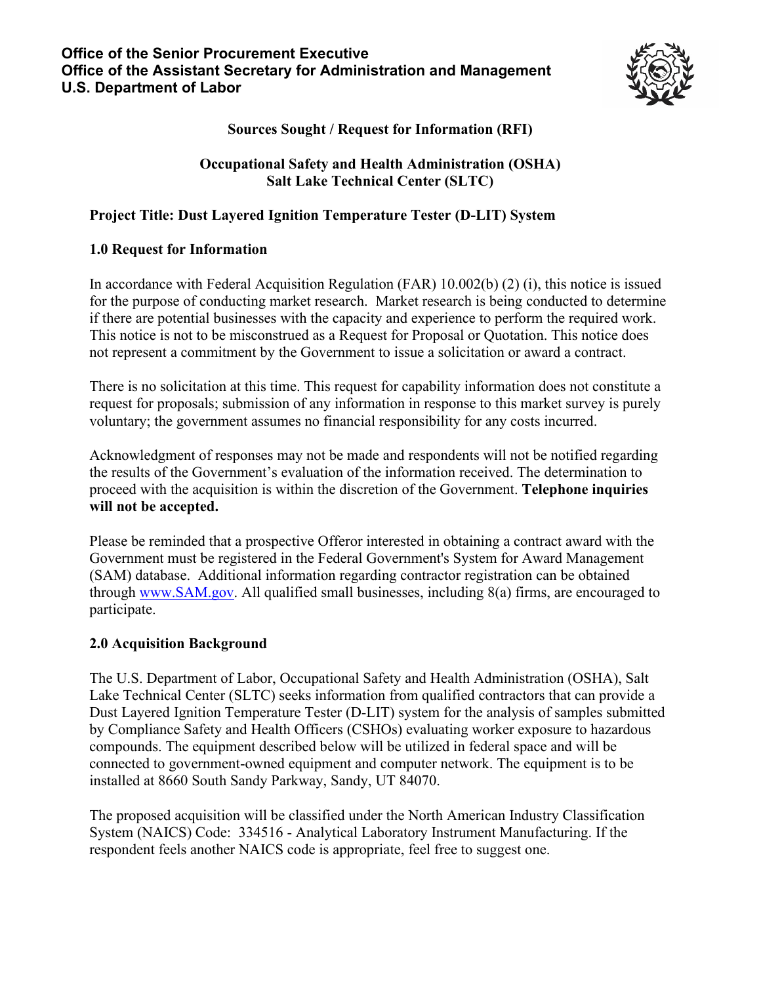

**Sources Sought / Request for Information (RFI)**

#### **Occupational Safety and Health Administration (OSHA) Salt Lake Technical Center (SLTC)**

## **Project Title: Dust Layered Ignition Temperature Tester (D-LIT) System**

### **1.0 Request for Information**

In accordance with Federal Acquisition Regulation (FAR) 10.002(b) (2) (i), this notice is issued for the purpose of conducting market research. Market research is being conducted to determine if there are potential businesses with the capacity and experience to perform the required work. This notice is not to be misconstrued as a Request for Proposal or Quotation. This notice does not represent a commitment by the Government to issue a solicitation or award a contract.

There is no solicitation at this time. This request for capability information does not constitute a request for proposals; submission of any information in response to this market survey is purely voluntary; the government assumes no financial responsibility for any costs incurred.

Acknowledgment of responses may not be made and respondents will not be notified regarding the results of the Government's evaluation of the information received. The determination to proceed with the acquisition is within the discretion of the Government. **Telephone inquiries will not be accepted.** 

Please be reminded that a prospective Offeror interested in obtaining a contract award with the Government must be registered in the Federal Government's System for Award Management (SAM) database. Additional information regarding contractor registration can be obtained through [www.SAM.gov.](http://www.sam.gov/) All qualified small businesses, including 8(a) firms, are encouraged to participate.

#### **2.0 Acquisition Background**

The U.S. Department of Labor, Occupational Safety and Health Administration (OSHA), Salt Lake Technical Center (SLTC) seeks information from qualified contractors that can provide a Dust Layered Ignition Temperature Tester (D-LIT) system for the analysis of samples submitted by Compliance Safety and Health Officers (CSHOs) evaluating worker exposure to hazardous compounds. The equipment described below will be utilized in federal space and will be connected to government-owned equipment and computer network. The equipment is to be installed at 8660 South Sandy Parkway, Sandy, UT 84070.

The proposed acquisition will be classified under the North American Industry Classification System (NAICS) Code: 334516 - Analytical Laboratory Instrument Manufacturing. If the respondent feels another NAICS code is appropriate, feel free to suggest one.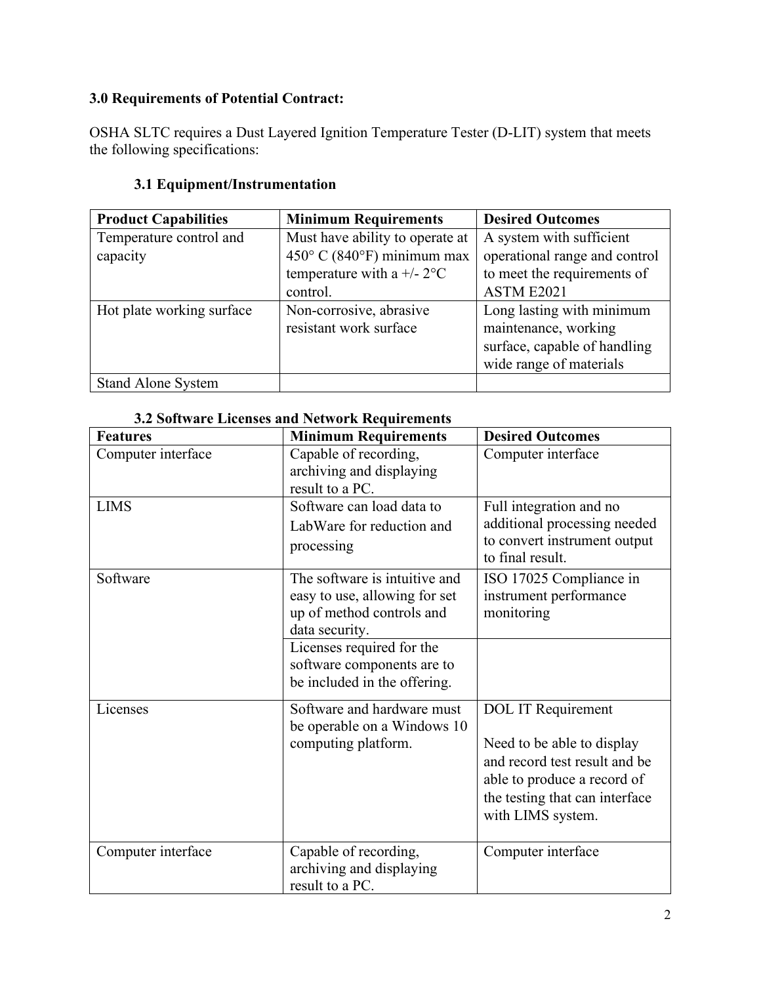# **3.0 Requirements of Potential Contract:**

OSHA SLTC requires a Dust Layered Ignition Temperature Tester (D-LIT) system that meets the following specifications:

# **3.1 Equipment/Instrumentation**

| <b>Product Capabilities</b> | <b>Minimum Requirements</b>     | <b>Desired Outcomes</b>       |  |
|-----------------------------|---------------------------------|-------------------------------|--|
| Temperature control and     | Must have ability to operate at | A system with sufficient      |  |
| capacity                    | 450° C (840°F) minimum max      | operational range and control |  |
|                             | temperature with a $+/- 2$ °C   | to meet the requirements of   |  |
|                             | control.                        | ASTM E2021                    |  |
| Hot plate working surface   | Non-corrosive, abrasive         | Long lasting with minimum     |  |
|                             | resistant work surface          | maintenance, working          |  |
|                             |                                 | surface, capable of handling  |  |
|                             |                                 | wide range of materials       |  |
| <b>Stand Alone System</b>   |                                 |                               |  |

#### **3.2 Software Licenses and Network Requirements**

| <b>Features</b>    | <b>Minimum Requirements</b>                                                                                   | <b>Desired Outcomes</b>                                                                                                                                                        |
|--------------------|---------------------------------------------------------------------------------------------------------------|--------------------------------------------------------------------------------------------------------------------------------------------------------------------------------|
| Computer interface | Capable of recording,<br>archiving and displaying<br>result to a PC.                                          | Computer interface                                                                                                                                                             |
| <b>LIMS</b>        | Software can load data to<br>LabWare for reduction and<br>processing                                          | Full integration and no<br>additional processing needed<br>to convert instrument output<br>to final result.                                                                    |
| Software           | The software is intuitive and<br>easy to use, allowing for set<br>up of method controls and<br>data security. | ISO 17025 Compliance in<br>instrument performance<br>monitoring                                                                                                                |
|                    | Licenses required for the<br>software components are to<br>be included in the offering.                       |                                                                                                                                                                                |
| Licenses           | Software and hardware must<br>be operable on a Windows 10<br>computing platform.                              | <b>DOL IT Requirement</b><br>Need to be able to display<br>and record test result and be<br>able to produce a record of<br>the testing that can interface<br>with LIMS system. |
| Computer interface | Capable of recording,<br>archiving and displaying<br>result to a PC.                                          | Computer interface                                                                                                                                                             |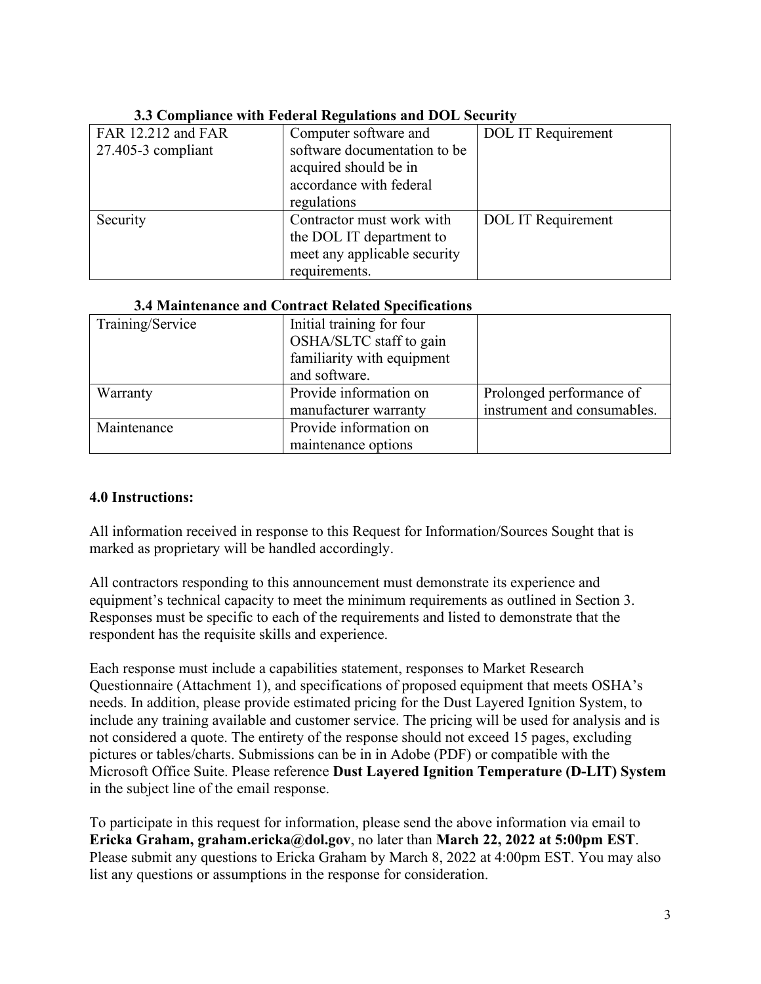| <u>olo comphante with I catrul Ittle</u> analons and DOD steamt |                              |                           |  |
|-----------------------------------------------------------------|------------------------------|---------------------------|--|
| FAR 12.212 and FAR                                              | Computer software and        | <b>DOL IT Requirement</b> |  |
| $27.405-3$ compliant                                            | software documentation to be |                           |  |
|                                                                 | acquired should be in        |                           |  |
|                                                                 | accordance with federal      |                           |  |
|                                                                 | regulations                  |                           |  |
| Security                                                        | Contractor must work with    | <b>DOL</b> IT Requirement |  |
|                                                                 | the DOL IT department to     |                           |  |
|                                                                 | meet any applicable security |                           |  |
|                                                                 | requirements.                |                           |  |

#### **3.3 Compliance with Federal Regulations and DOL Security**

#### **3.4 Maintenance and Contract Related Specifications**

| Training/Service | Initial training for four<br>OSHA/SLTC staff to gain<br>familiarity with equipment<br>and software. |                             |
|------------------|-----------------------------------------------------------------------------------------------------|-----------------------------|
|                  | Provide information on                                                                              |                             |
| Warranty         |                                                                                                     | Prolonged performance of    |
|                  | manufacturer warranty                                                                               | instrument and consumables. |
| Maintenance      | Provide information on                                                                              |                             |
|                  | maintenance options                                                                                 |                             |

#### **4.0 Instructions:**

All information received in response to this Request for Information/Sources Sought that is marked as proprietary will be handled accordingly.

All contractors responding to this announcement must demonstrate its experience and equipment's technical capacity to meet the minimum requirements as outlined in Section 3. Responses must be specific to each of the requirements and listed to demonstrate that the respondent has the requisite skills and experience.

Each response must include a capabilities statement, responses to Market Research Questionnaire (Attachment 1), and specifications of proposed equipment that meets OSHA's needs. In addition, please provide estimated pricing for the Dust Layered Ignition System, to include any training available and customer service. The pricing will be used for analysis and is not considered a quote. The entirety of the response should not exceed 15 pages, excluding pictures or tables/charts. Submissions can be in in Adobe (PDF) or compatible with the Microsoft Office Suite. Please reference **Dust Layered Ignition Temperature (D-LIT) System** in the subject line of the email response.

To participate in this request for information, please send the above information via email to **Ericka Graham, graham.ericka@dol.gov**, no later than **March 22, 2022 at 5:00pm EST**. Please submit any questions to Ericka Graham by March 8, 2022 at 4:00pm EST. You may also list any questions or assumptions in the response for consideration.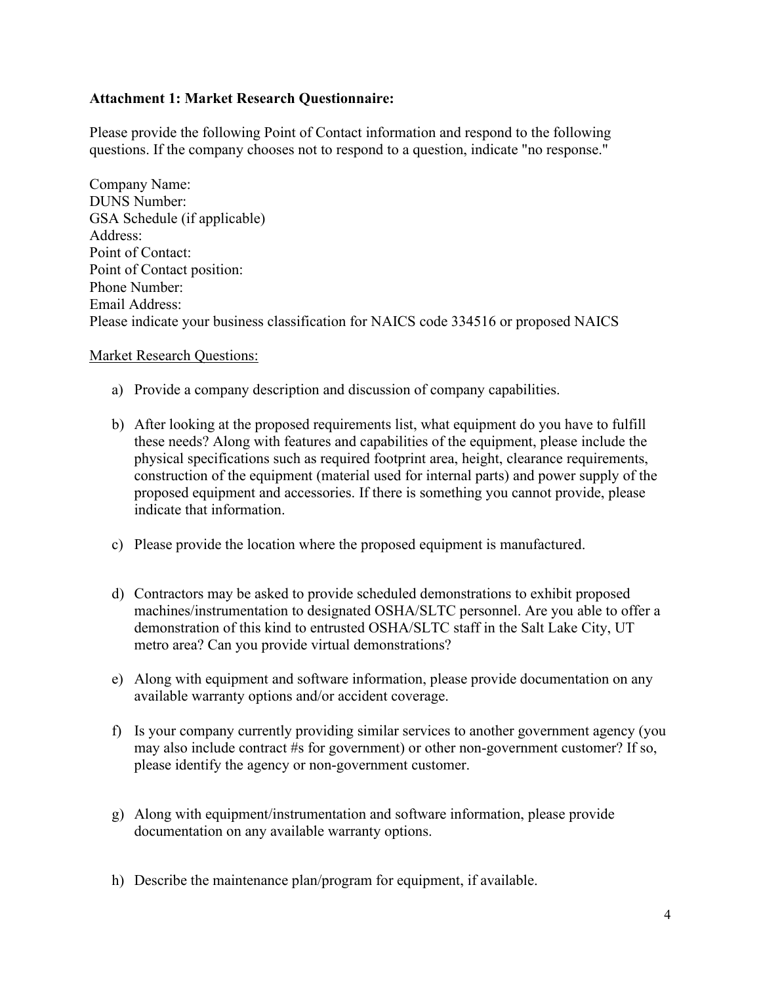#### **Attachment 1: Market Research Questionnaire:**

Please provide the following Point of Contact information and respond to the following questions. If the company chooses not to respond to a question, indicate "no response."

Company Name: DUNS Number: GSA Schedule (if applicable) Address: Point of Contact: Point of Contact position: Phone Number: Email Address: Please indicate your business classification for NAICS code 334516 or proposed NAICS

#### Market Research Questions:

- a) Provide a company description and discussion of company capabilities.
- b) After looking at the proposed requirements list, what equipment do you have to fulfill these needs? Along with features and capabilities of the equipment, please include the physical specifications such as required footprint area, height, clearance requirements, construction of the equipment (material used for internal parts) and power supply of the proposed equipment and accessories. If there is something you cannot provide, please indicate that information.
- c) Please provide the location where the proposed equipment is manufactured.
- d) Contractors may be asked to provide scheduled demonstrations to exhibit proposed machines/instrumentation to designated OSHA/SLTC personnel. Are you able to offer a demonstration of this kind to entrusted OSHA/SLTC staff in the Salt Lake City, UT metro area? Can you provide virtual demonstrations?
- e) Along with equipment and software information, please provide documentation on any available warranty options and/or accident coverage.
- f) Is your company currently providing similar services to another government agency (you may also include contract #s for government) or other non-government customer? If so, please identify the agency or non-government customer.
- g) Along with equipment/instrumentation and software information, please provide documentation on any available warranty options.
- h) Describe the maintenance plan/program for equipment, if available.